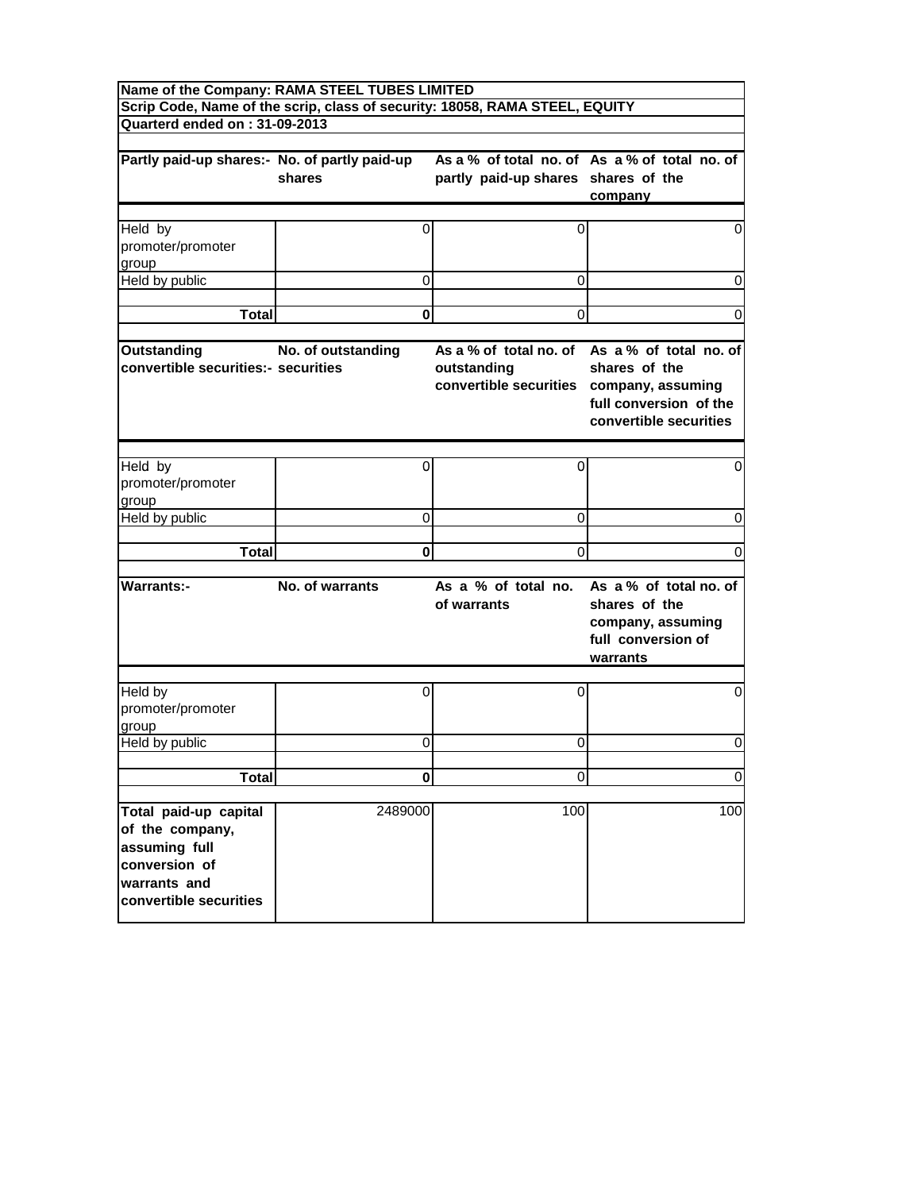| Name of the Company: RAMA STEEL TUBES LIMITED                                                                        |                    |                                                                                   |                                                                                                                    |
|----------------------------------------------------------------------------------------------------------------------|--------------------|-----------------------------------------------------------------------------------|--------------------------------------------------------------------------------------------------------------------|
| Quarterd ended on: 31-09-2013                                                                                        |                    | Scrip Code, Name of the scrip, class of security: 18058, RAMA STEEL, EQUITY       |                                                                                                                    |
|                                                                                                                      |                    |                                                                                   |                                                                                                                    |
| Partly paid-up shares:- No. of partly paid-up                                                                        | shares             | partly paid-up shares shares of the                                               | As a % of total no. of As a % of total no. of<br>company                                                           |
|                                                                                                                      |                    |                                                                                   |                                                                                                                    |
| Held by<br>promoter/promoter<br>group                                                                                | 0                  | 0                                                                                 | 0                                                                                                                  |
| Held by public                                                                                                       | 0                  | 0                                                                                 | 0                                                                                                                  |
|                                                                                                                      |                    |                                                                                   |                                                                                                                    |
| <b>Total</b>                                                                                                         | 0                  | 0                                                                                 | 0                                                                                                                  |
| <b>Outstanding</b><br>convertible securities:- securities                                                            | No. of outstanding | As a % of total no, of<br>outstanding<br>convertible securities company, assuming | As a % of total no. of<br>shares of the<br>full conversion of the<br>convertible securities                        |
|                                                                                                                      |                    |                                                                                   |                                                                                                                    |
| Held by<br>promoter/promoter<br>group                                                                                | 0                  | 0                                                                                 | 0                                                                                                                  |
| Held by public                                                                                                       | 0                  | 0                                                                                 | 0                                                                                                                  |
|                                                                                                                      |                    |                                                                                   |                                                                                                                    |
| Total                                                                                                                | 0                  | $\Omega$                                                                          | 0                                                                                                                  |
| <b>Warrants:-</b>                                                                                                    | No. of warrants    | of warrants                                                                       | As a % of total no. As a % of total no. of<br>shares of the<br>company, assuming<br>full conversion of<br>warrants |
| Held by<br>promoter/promoter<br>group                                                                                | 0                  | 0                                                                                 | 0                                                                                                                  |
| Held by public                                                                                                       | 0                  | 0                                                                                 | 0                                                                                                                  |
|                                                                                                                      |                    |                                                                                   |                                                                                                                    |
| <b>Total</b>                                                                                                         | $\bf{0}$           | $\Omega$                                                                          | $\mathbf 0$                                                                                                        |
| Total paid-up capital<br>of the company,<br>assuming full<br>conversion of<br>warrants and<br>convertible securities | 2489000            | 100                                                                               | 100                                                                                                                |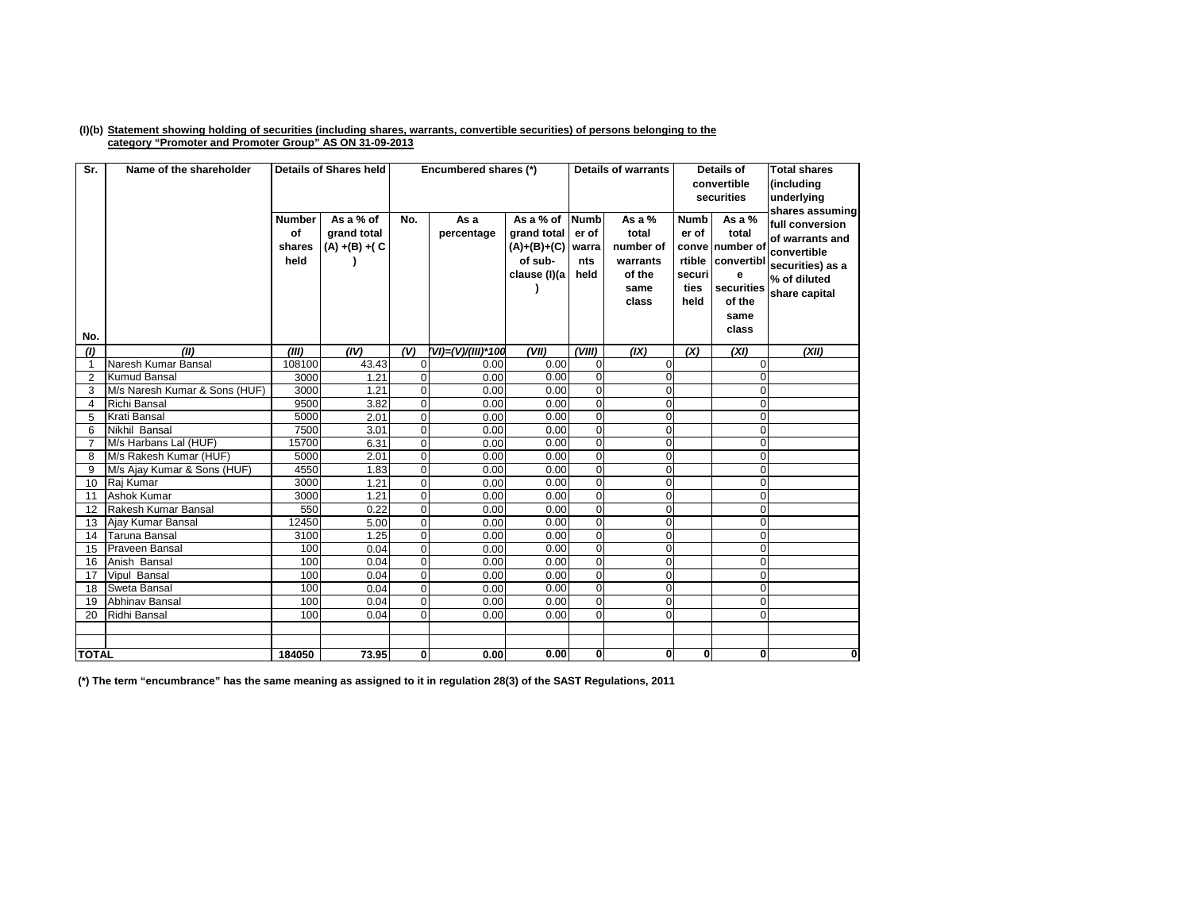## (I)(b) Statement showing holding of securities (including shares, warrants, convertible securities) of persons belonging to the **category "Promoter and Promoter Group" AS ON 31-09-2013**

| Sr.            | Name of the shareholder       |                                       | <b>Details of Shares held</b>                 |                | Encumbered shares (*) |                                                                      | <b>Details of warrants</b>                   |                                                                       | <b>Details of</b><br>convertible<br>securities                    |                                                                                          | <b>Total shares</b><br>(including<br>underlying<br>shares assuming                                     |
|----------------|-------------------------------|---------------------------------------|-----------------------------------------------|----------------|-----------------------|----------------------------------------------------------------------|----------------------------------------------|-----------------------------------------------------------------------|-------------------------------------------------------------------|------------------------------------------------------------------------------------------|--------------------------------------------------------------------------------------------------------|
| No.            |                               | <b>Number</b><br>οf<br>shares<br>held | As a % of<br>grand total<br>$(A) + (B) + (C)$ | No.            | As a<br>percentage    | As a % of<br>grand total<br>$(A)+(B)+(C)$<br>of sub-<br>clause (I)(a | <b>Numb</b><br>er of<br>warra<br>nts<br>held | As a $%$<br>total<br>number of<br>warrants<br>of the<br>same<br>class | <b>Numb</b><br>er of<br>conve<br>rtible<br>securi<br>ties<br>held | As a %<br>total<br>number of<br>convertibl<br>e<br>securities<br>of the<br>same<br>class | full conversion<br>of warrants and<br>convertible<br>securities) as a<br>% of diluted<br>share capital |
| (1)            | (II)                          | (III)                                 | (IV)                                          | (V)            | (VI)=(V)/(III)*100    | (VII)                                                                | (VIII)                                       | (IX)                                                                  | (X)                                                               | (XI)                                                                                     | (XII)                                                                                                  |
| $\mathbf{1}$   | Naresh Kumar Bansal           | 108100                                | 43.43                                         | 0              | 0.00                  | 0.00                                                                 | $\Omega$                                     | $\mathbf{0}$                                                          |                                                                   | $\Omega$                                                                                 |                                                                                                        |
| $\overline{2}$ | <b>Kumud Bansal</b>           | 3000                                  | 1.21                                          | $\overline{0}$ | 0.00                  | 0.00                                                                 | $\mathbf{0}$                                 | $\Omega$                                                              |                                                                   | $\Omega$                                                                                 |                                                                                                        |
| 3              | M/s Naresh Kumar & Sons (HUF) | 3000                                  | 1.21                                          | $\overline{0}$ | 0.00                  | 0.00                                                                 | $\mathbf{0}$                                 | $\mathbf 0$                                                           |                                                                   | $\Omega$                                                                                 |                                                                                                        |
| $\overline{4}$ | <b>Richi Bansal</b>           | 9500                                  | 3.82                                          | $\overline{0}$ | 0.00                  | 0.00                                                                 | $\overline{0}$                               | $\overline{0}$                                                        |                                                                   | $\Omega$                                                                                 |                                                                                                        |
| 5              | Krati Bansal                  | 5000                                  | 2.01                                          | $\overline{0}$ | 0.00                  | 0.00                                                                 | $\mathbf{0}$                                 | $\mathbf 0$                                                           |                                                                   | $\mathbf{O}$                                                                             |                                                                                                        |
| 6              | Nikhil Bansal                 | 7500                                  | 3.01                                          | $\Omega$       | 0.00                  | 0.00                                                                 | $\Omega$                                     | 0                                                                     |                                                                   | $\mathbf 0$                                                                              |                                                                                                        |
| $\overline{7}$ | M/s Harbans Lal (HUF)         | 15700                                 | 6.31                                          | $\overline{0}$ | 0.00                  | 0.00                                                                 | $\mathbf{0}$                                 | $\mathbf 0$                                                           |                                                                   | $\mathbf{O}$                                                                             |                                                                                                        |
| 8              | M/s Rakesh Kumar (HUF)        | 5000                                  | 2.01                                          | $\overline{0}$ | 0.00                  | 0.00                                                                 | $\Omega$                                     | $\overline{0}$                                                        |                                                                   | $\Omega$                                                                                 |                                                                                                        |
| 9              | M/s Ajay Kumar & Sons (HUF)   | 4550                                  | 1.83                                          | $\overline{0}$ | 0.00                  | 0.00                                                                 | $\mathbf{0}$                                 | 0                                                                     |                                                                   | $\Omega$                                                                                 |                                                                                                        |
| 10             | Raj Kumar                     | 3000                                  | 1.21                                          | $\overline{0}$ | 0.00                  | 0.00                                                                 | $\Omega$                                     | $\mathbf 0$                                                           |                                                                   | $\Omega$                                                                                 |                                                                                                        |
| 11             | Ashok Kumar                   | 3000                                  | 1.21                                          | $\overline{0}$ | 0.00                  | 0.00                                                                 | $\Omega$                                     | $\mathbf 0$                                                           |                                                                   | $\Omega$                                                                                 |                                                                                                        |
| 12             | Rakesh Kumar Bansal           | 550                                   | 0.22                                          | $\overline{0}$ | 0.00                  | 0.00                                                                 | $\mathbf{0}$                                 | $\mathbf 0$                                                           |                                                                   | $\Omega$                                                                                 |                                                                                                        |
| 13             | Ajay Kumar Bansal             | 12450                                 | 5.00                                          | $\overline{0}$ | 0.00                  | 0.00                                                                 | $\mathbf{0}$                                 | $\mathbf 0$                                                           |                                                                   | $\mathbf{O}$                                                                             |                                                                                                        |
| 14             | Taruna Bansal                 | 3100                                  | 1.25                                          | $\overline{0}$ | 0.00                  | 0.00                                                                 | $\mathbf{0}$                                 | $\mathbf 0$                                                           |                                                                   | $\Omega$                                                                                 |                                                                                                        |
| 15             | Praveen Bansal                | 100                                   | 0.04                                          | $\mathbf 0$    | 0.00                  | 0.00                                                                 | $\overline{0}$                               | $\overline{0}$                                                        |                                                                   | $\Omega$                                                                                 |                                                                                                        |
| 16             | Anish Bansal                  | 100                                   | 0.04                                          | $\overline{0}$ | 0.00                  | 0.00                                                                 | $\overline{0}$                               | $\mathbf 0$                                                           |                                                                   | $\overline{0}$                                                                           |                                                                                                        |
| 17             | Vipul Bansal                  | 100                                   | 0.04                                          | $\overline{0}$ | 0.00                  | 0.00                                                                 | $\mathbf{0}$                                 | $\mathbf 0$                                                           |                                                                   | $\overline{0}$                                                                           |                                                                                                        |
| 18             | Sweta Bansal                  | 100                                   | 0.04                                          | $\overline{0}$ | 0.00                  | 0.00                                                                 | $\mathbf{0}$                                 | $\overline{0}$                                                        |                                                                   | $\Omega$                                                                                 |                                                                                                        |
| 19             | Abhinav Bansal                | 100                                   | 0.04                                          | $\mathbf 0$    | 0.00                  | 0.00                                                                 | $\overline{0}$                               | $\overline{0}$                                                        |                                                                   | $\mathbf 0$                                                                              |                                                                                                        |
| 20             | Ridhi Bansal                  | 100                                   | 0.04                                          | $\overline{0}$ | 0.00                  | 0.00                                                                 | $\Omega$                                     | $\Omega$                                                              |                                                                   | $\Omega$                                                                                 |                                                                                                        |
|                |                               |                                       |                                               |                |                       |                                                                      |                                              |                                                                       |                                                                   |                                                                                          |                                                                                                        |
|                |                               |                                       |                                               |                |                       |                                                                      |                                              |                                                                       |                                                                   |                                                                                          |                                                                                                        |
| <b>TOTAL</b>   |                               | 184050                                | 73.95                                         | $\mathbf{0}$   | 0.00                  | 0.00                                                                 | $\mathbf{0}$                                 | 0                                                                     | $\bf{0}$                                                          | $\mathbf{0}$                                                                             | 0                                                                                                      |

(\*) The term "encumbrance" has the same meaning as assigned to it in regulation 28(3) of the SAST Regulations, 2011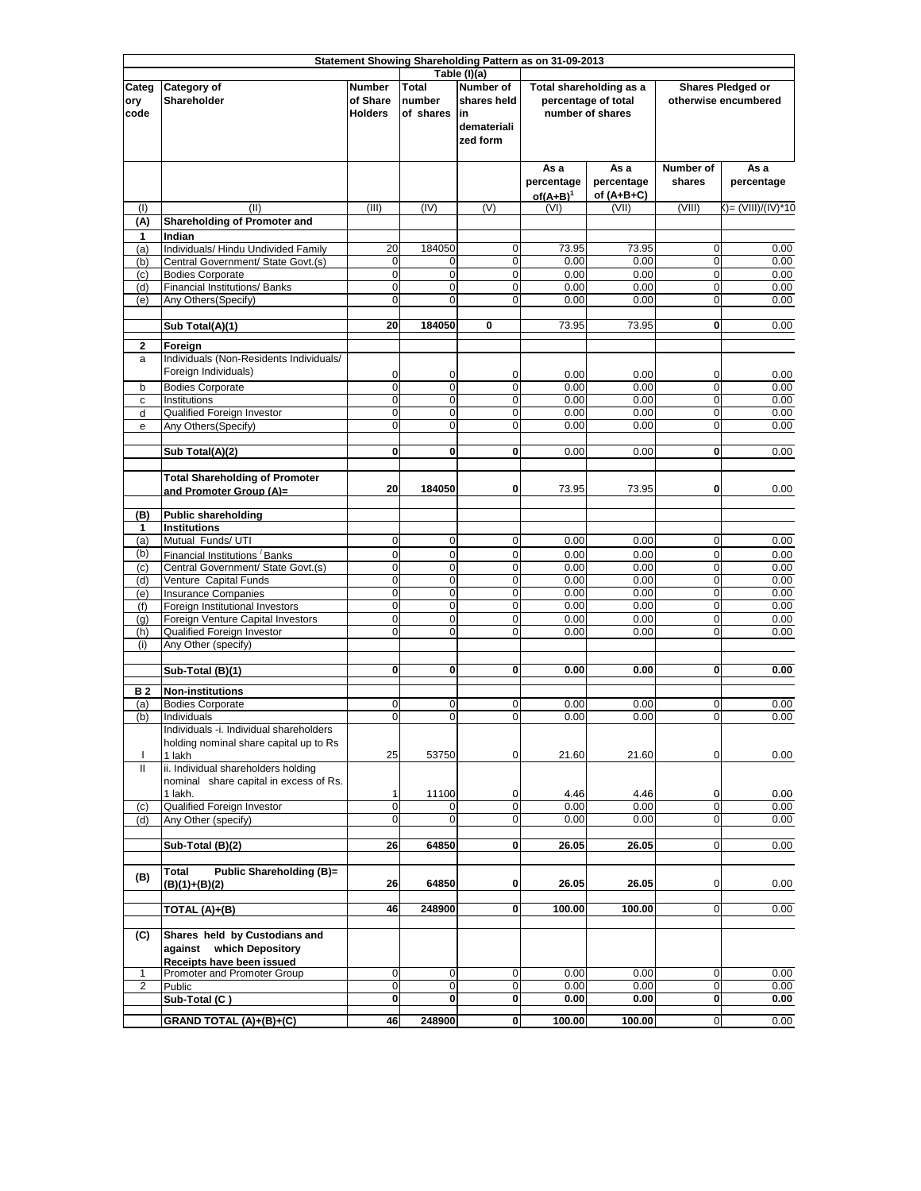|                      | Statement Showing Shareholding Pattern as on 31-09-2013                                  |                                             |                                     |                                                                                   |                                   |                                                                    |                            |                                           |
|----------------------|------------------------------------------------------------------------------------------|---------------------------------------------|-------------------------------------|-----------------------------------------------------------------------------------|-----------------------------------|--------------------------------------------------------------------|----------------------------|-------------------------------------------|
| Categ<br>ory<br>code | Category of<br>Shareholder                                                               | <b>Number</b><br>of Share<br><b>Holders</b> | <b>Total</b><br>number<br>of shares | Table (I)(a)<br><b>Number of</b><br>shares held<br>lin<br>demateriali<br>zed form |                                   | Total shareholding as a<br>percentage of total<br>number of shares |                            | Shares Pledged or<br>otherwise encumbered |
|                      |                                                                                          |                                             |                                     |                                                                                   | As a<br>percentage<br>$of(A+B)^1$ | As a<br>percentage<br>of $(A+B+C)$                                 | Number of<br>shares        | As a<br>percentage                        |
| (1)<br>(A)           | (II)<br><b>Shareholding of Promoter and</b>                                              | (III)                                       | (IV)                                | (V)                                                                               | (VI)                              | (VII)                                                              | (VIII)                     | ()= (VIII)/(IV)*10                        |
| 1                    | Indian                                                                                   |                                             |                                     |                                                                                   |                                   |                                                                    |                            |                                           |
| (a)<br>(b)           | Individuals/ Hindu Undivided Family<br>Central Government/ State Govt.(s)                | 20<br>0                                     | 184050<br>0                         | 0<br>0                                                                            | 73.95<br>0.00                     | 73.95<br>0.00                                                      | 0<br>0                     | 0.00<br>0.00                              |
| (c)                  | <b>Bodies Corporate</b>                                                                  | $\mathbf 0$                                 | $\mathbf 0$                         | 0                                                                                 | 0.00                              | 0.00                                                               | $\mathbf 0$                | 0.00                                      |
| (d)                  | Financial Institutions/ Banks                                                            | $\overline{0}$                              | $\mathbf 0$                         | $\mathbf 0$                                                                       | 0.00                              | 0.00                                                               | $\mathbf 0$                | 0.00                                      |
| (e)                  | Any Others(Specify)                                                                      | 0                                           | $\mathbf 0$                         | $\mathbf 0$                                                                       | 0.00                              | 0.00                                                               | $\mathbf 0$                | 0.00                                      |
|                      | Sub Total(A)(1)                                                                          | 20                                          | 184050                              | 0                                                                                 | 73.95                             | 73.95                                                              | $\mathbf 0$                | 0.00                                      |
| $\mathbf{2}$<br>a    | Foreign<br>Individuals (Non-Residents Individuals/<br>Foreign Individuals)               | 0                                           | 0                                   | 0                                                                                 | 0.00                              | 0.00                                                               | 0                          | 0.00                                      |
| b                    | <b>Bodies Corporate</b><br>Institutions                                                  | 0<br>$\mathbf 0$                            | $\overline{0}$<br>$\mathbf 0$       | $\overline{0}$<br>$\mathbf 0$                                                     | 0.00<br>0.00                      | 0.00<br>0.00                                                       | $\mathbf 0$<br>$\mathbf 0$ | 0.00<br>0.00                              |
| с<br>d               | Qualified Foreign Investor                                                               | $\mathbf 0$                                 | $\mathbf 0$                         | $\mathbf 0$                                                                       | 0.00                              | 0.00                                                               | $\mathbf 0$                | 0.00                                      |
| e                    | Any Others (Specify)                                                                     | $\mathbf 0$                                 | $\mathbf 0$                         | 0                                                                                 | 0.00                              | 0.00                                                               | $\mathbf 0$                | 0.00                                      |
|                      |                                                                                          | $\mathbf{0}$                                | 0                                   | 0                                                                                 | 0.00                              | 0.00                                                               | 0                          |                                           |
|                      | Sub Total(A)(2)                                                                          |                                             |                                     |                                                                                   |                                   |                                                                    |                            | 0.00                                      |
|                      | <b>Total Shareholding of Promoter</b><br>and Promoter Group (A)=                         | 20                                          | 184050                              | 0                                                                                 | 73.95                             | 73.95                                                              | 0                          | 0.00                                      |
| (B)                  | <b>Public shareholding</b>                                                               |                                             |                                     |                                                                                   |                                   |                                                                    |                            |                                           |
| 1<br>(a)             | <b>Institutions</b><br>Mutual Funds/ UTI                                                 | $\mathbf 0$                                 | $\mathbf 0$                         | $\mathbf 0$                                                                       | 0.00                              | 0.00                                                               | $\mathbf 0$                | 0.00                                      |
| (b)                  | Financial Institutions Banks                                                             | $\mathbf 0$                                 | $\mathbf 0$                         | $\mathbf 0$                                                                       | 0.00                              | 0.00                                                               | $\mathbf 0$                | 0.00                                      |
| (c)                  | Central Government/ State Govt.(s)                                                       | $\mathbf 0$                                 | $\mathbf 0$                         | 0                                                                                 | 0.00                              | 0.00                                                               | $\mathbf 0$                | 0.00                                      |
| (d)                  | Venture Capital Funds                                                                    | $\mathbf 0$<br>O                            | $\mathbf 0$<br>$\mathbf 0$          | $\mathbf 0$<br>$\mathbf 0$                                                        | 0.00<br>0.00                      | 0.00<br>0.00                                                       | $\mathbf 0$<br>$\mathbf 0$ | 0.00<br>0.00                              |
| (e)<br>(f)           | <b>Insurance Companies</b><br>Foreign Institutional Investors                            | O                                           | $\pmb{0}$                           | 0                                                                                 | 0.00                              | 0.00                                                               | $\mathbf 0$                | 0.00                                      |
| (q)                  | Foreign Venture Capital Investors                                                        | O                                           | $\overline{0}$                      | $\mathbf 0$                                                                       | 0.00                              | 0.00                                                               | $\mathbf 0$                | 0.00                                      |
| (h)<br>(i)           | Qualified Foreign Investor<br>Any Other (specify)                                        | $\overline{0}$                              | $\mathbf 0$                         | $\mathbf 0$                                                                       | 0.00                              | 0.00                                                               | $\mathbf 0$                | 0.00                                      |
|                      | Sub-Total (B)(1)                                                                         | $\mathbf 0$                                 | 0                                   | 0                                                                                 | 0.00                              | 0.00                                                               | 0                          | 0.00                                      |
| <b>B2</b>            | <b>Non-institutions</b>                                                                  |                                             |                                     |                                                                                   |                                   |                                                                    |                            |                                           |
| (a)                  | <b>Bodies Corporate</b>                                                                  | $\mathbf 0$                                 | 0                                   | 0                                                                                 | 0.00                              | 0.00                                                               | 0                          | 0.00                                      |
| (b)                  | Individuals                                                                              | $\overline{0}$                              | 0                                   | 0                                                                                 | 0.00                              | 0.00                                                               | 0                          | 0.00                                      |
|                      | Individuals -i. Individual shareholders<br>holding nominal share capital up to Rs        |                                             |                                     |                                                                                   |                                   |                                                                    |                            |                                           |
| T                    | 1 lakh                                                                                   | 25                                          | 53750                               | 0                                                                                 | 21.60                             | 21.60                                                              | $\mathbf 0$                | 0.00                                      |
| Ш                    | ii. Individual shareholders holding<br>nominal share capital in excess of Rs.<br>1 lakh. | 1                                           | 11100                               | 0                                                                                 | 4.46                              | 4.46                                                               | 0                          | 0.00                                      |
| (c)                  | Qualified Foreign Investor                                                               | $\mathbf 0$                                 |                                     | 0                                                                                 | 0.00                              | 0.00                                                               | $\mathbf 0$                | 0.00                                      |
| (d)                  | Any Other (specify)                                                                      | 0                                           | 0                                   | 0                                                                                 | 0.00                              | 0.00                                                               | 0                          | 0.00                                      |
|                      | Sub-Total (B)(2)                                                                         | 26                                          | 64850                               | 0                                                                                 | 26.05                             | 26.05                                                              | $\mathbf 0$                | 0.00                                      |
| (B)                  | Public Shareholding (B)=<br><b>Total</b><br>(B)(1)+(B)(2)                                | 26                                          | 64850                               | 0                                                                                 | 26.05                             | 26.05                                                              | 0                          | 0.00                                      |
|                      | TOTAL (A)+(B)                                                                            | 46                                          | 248900                              | 0                                                                                 | 100.00                            | 100.00                                                             | $\overline{0}$             | 0.00                                      |
| (C)                  | Shares held by Custodians and<br>against which Depository<br>Receipts have been issued   |                                             |                                     |                                                                                   |                                   |                                                                    |                            |                                           |
| 1<br>$\overline{2}$  | Promoter and Promoter Group<br>Public                                                    | $\mathbf 0$<br>$\mathbf 0$                  | $\mathbf 0$<br>0                    | 0<br>0                                                                            | 0.00<br>0.00                      | 0.00<br>0.00                                                       | $\mathbf 0$<br>0           | 0.00<br>0.00                              |
|                      | Sub-Total (C)                                                                            | 0                                           | 0                                   | 0                                                                                 | 0.00                              | 0.00                                                               | $\mathbf{0}$               | 0.00                                      |
|                      | GRAND TOTAL (A)+(B)+(C)                                                                  | 46                                          | 248900                              | 0                                                                                 | 100.00                            | 100.00                                                             | $\mathbf 0$                | 0.00                                      |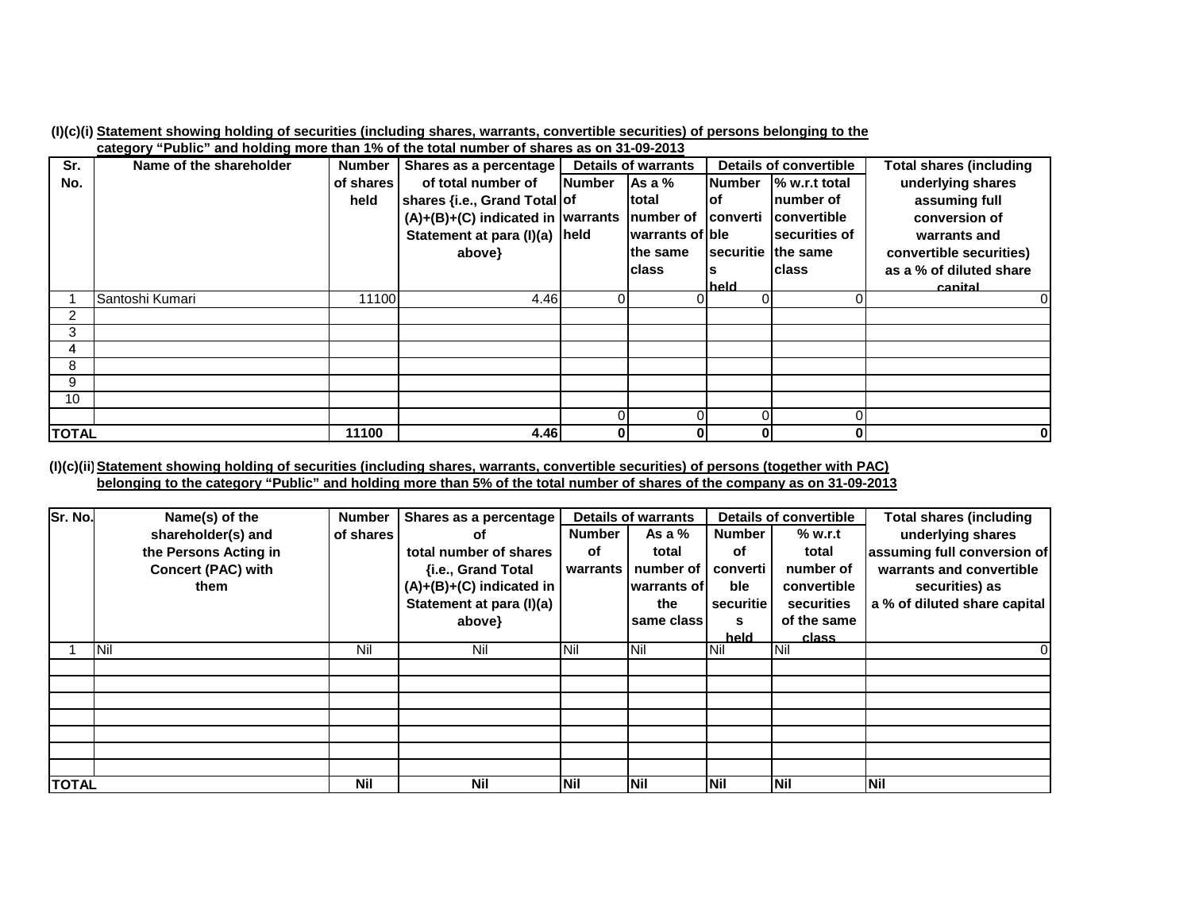|  |  |  |  |  | (I)(c)(i) Statement showing holding of securities (including shares, warrants, convertible securities) of persons belonging to the |
|--|--|--|--|--|------------------------------------------------------------------------------------------------------------------------------------|
|  |  |  |  |  |                                                                                                                                    |

|              | category "Public" and holding more than 1% of the total number of shares as on 31-09-2013 |           |                                               |               |                            |                               |                    |                         |
|--------------|-------------------------------------------------------------------------------------------|-----------|-----------------------------------------------|---------------|----------------------------|-------------------------------|--------------------|-------------------------|
| Sr.          | Name of the shareholder                                                                   | Number I  | Shares as a percentage                        |               | <b>Details of warrants</b> | <b>Details of convertible</b> |                    | Total shares (including |
| No.          |                                                                                           | of shares | of total number of                            | <b>Number</b> | As a $%$                   | <b>Number</b>                 | % w.r.t total      | underlying shares       |
|              |                                                                                           | held      | shares {i.e., Grand Total of                  |               | <b>total</b>               | lof                           | Inumber of         | assuming full           |
|              |                                                                                           |           | $(A)+(B)+(C)$ indicated in warrants number of |               |                            | <b>converti</b>               | convertible        | conversion of           |
|              |                                                                                           |           | Statement at para (I)(a) held                 |               | warrants of ble            |                               | securities of      | warrants and            |
|              |                                                                                           |           | above}                                        |               | lthe same                  |                               | securitie the same | convertible securities) |
|              |                                                                                           |           |                                               |               | <b>class</b>               |                               | <b>class</b>       | as a % of diluted share |
|              |                                                                                           |           |                                               |               |                            | held                          |                    | canital                 |
|              | Santoshi Kumari                                                                           | 11100     | 4.46                                          | 0             | 0                          |                               |                    |                         |
| 2            |                                                                                           |           |                                               |               |                            |                               |                    |                         |
| 3            |                                                                                           |           |                                               |               |                            |                               |                    |                         |
| 4            |                                                                                           |           |                                               |               |                            |                               |                    |                         |
| 8            |                                                                                           |           |                                               |               |                            |                               |                    |                         |
| 9            |                                                                                           |           |                                               |               |                            |                               |                    |                         |
| 10           |                                                                                           |           |                                               |               |                            |                               |                    |                         |
|              |                                                                                           |           |                                               |               | 0                          |                               |                    |                         |
| <b>TOTAL</b> |                                                                                           | 11100     | 4.46                                          | $\mathbf{0}$  | 0                          | 01                            | 0                  | $\bf{0}$                |

(I)(c)(ii) <u>Statement showing holding of securities (including shares, warrants, convertible securities) of persons (together with PAC)</u> <u>belonging to the category "Public" and holding more than 5% of the total number of shares of the company as on 31-09-2013</u>

| Sr. No.      | Name(s) of the            | <b>Number</b> | Shares as a percentage   | <b>Details of warrants</b> |               | <b>Details of convertible</b> |             | <b>Total shares (including</b> |
|--------------|---------------------------|---------------|--------------------------|----------------------------|---------------|-------------------------------|-------------|--------------------------------|
|              | shareholder(s) and        | of shares     | οf                       | <b>Number</b>              | As a $%$      | <b>Number</b>                 | % w.r.t     | underlying shares              |
|              | the Persons Acting in     |               | total number of shares   | of                         | total         | of                            | total       | assuming full conversion of    |
|              | <b>Concert (PAC) with</b> |               | {i.e., Grand Total       | warrants                   | number of     | converti                      | number of   | warrants and convertible       |
|              | them                      |               | (A)+(B)+(C) indicated in |                            | warrants of l | ble                           | convertible | securities) as                 |
|              |                           |               | Statement at para (I)(a) |                            | the           | securitie                     | securities  | a % of diluted share capital   |
|              |                           |               | above}                   |                            | same class    | s                             | of the same |                                |
|              |                           |               |                          |                            |               | held                          | class       |                                |
|              | Nil                       | Nil           | Nil                      | Nil                        | Nil           | Nil                           | <b>INil</b> |                                |
|              |                           |               |                          |                            |               |                               |             |                                |
|              |                           |               |                          |                            |               |                               |             |                                |
|              |                           |               |                          |                            |               |                               |             |                                |
|              |                           |               |                          |                            |               |                               |             |                                |
|              |                           |               |                          |                            |               |                               |             |                                |
|              |                           |               |                          |                            |               |                               |             |                                |
|              |                           |               |                          |                            |               |                               |             |                                |
| <b>TOTAL</b> |                           | <b>Nil</b>    | <b>Nil</b>               | Nil                        | Nil           | <b>Nil</b>                    | Nil         | Nil                            |